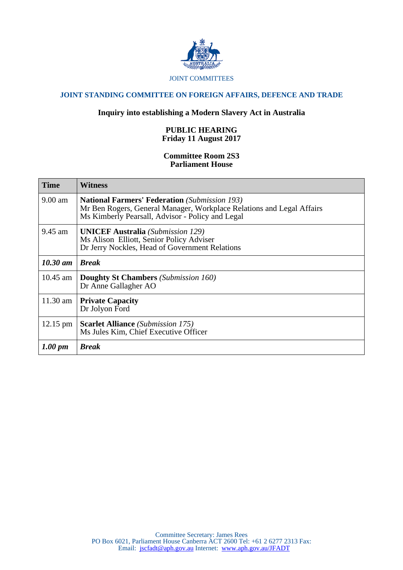

### JOINT COMMITTEES

# **JOINT STANDING COMMITTEE ON FOREIGN AFFAIRS, DEFENCE AND TRADE**

## **Inquiry into establishing a Modern Slavery Act in Australia**

## **PUBLIC HEARING Friday 11 August 2017**

#### **Committee Room 2S3 Parliament House**

| <b>Time</b>         | Witness                                                                                                                                                                           |
|---------------------|-----------------------------------------------------------------------------------------------------------------------------------------------------------------------------------|
| 9.00 am             | <b>National Farmers' Federation</b> (Submission 193)<br>Mr Ben Rogers, General Manager, Workplace Relations and Legal Affairs<br>Ms Kimberly Pearsall, Advisor - Policy and Legal |
| 9.45 am             | <b>UNICEF Australia</b> (Submission 129)<br>Ms Alison Elliott, Senior Policy Adviser<br>Dr Jerry Nockles, Head of Government Relations                                            |
| $10.30$ am          | <b>Break</b>                                                                                                                                                                      |
| $10.45$ am          | <b>Doughty St Chambers</b> (Submission 160)<br>Dr Anne Gallagher AO                                                                                                               |
| 11.30 am $ $        | <b>Private Capacity</b><br>Dr Jolyon Ford                                                                                                                                         |
| $12.15 \text{ pm}$  | <b>Scarlet Alliance</b> (Submission 175)<br>Ms Jules Kim, Chief Executive Officer                                                                                                 |
| $1.00 \; \text{pm}$ | <b>Break</b>                                                                                                                                                                      |